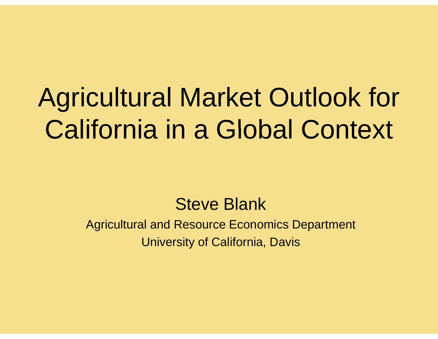# Agricultural Market Outlook for California in a Global Context

#### Steve Blank

Agricultural and Resource Economics Department University of California, Davis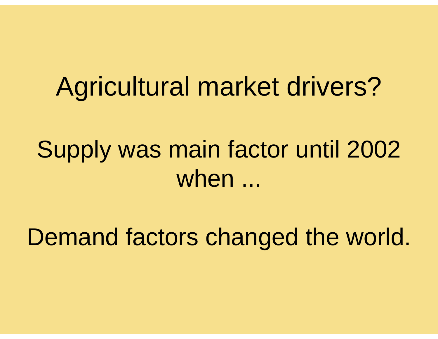## Agricultural market drivers?

## Supply was main factor until 2002 when ...

Demand factors changed the world.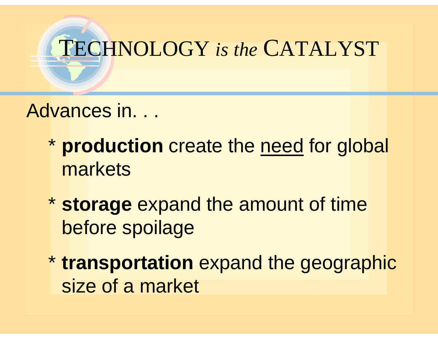

Advances in...

- \* **production** create the need for global markets
- \* storage expand the amount of time before spoilage
- \* **transportation** expand the geographic size of a market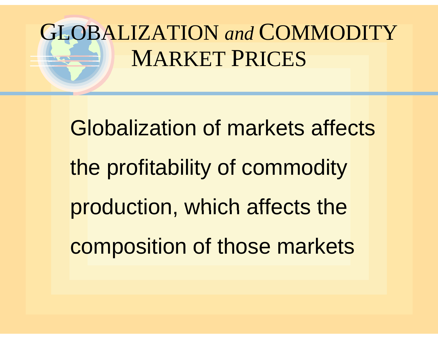# GLOBALIZATION *and* COMMODITY MARKET PRICES

Globalization of markets affects the profitability of commodity production, which affects the composition of those markets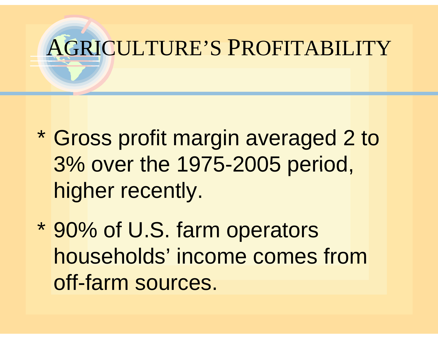

- \* Gross profit margin averaged 2 to 3% over the 1975-2005 period, higher recently.
- \* 90% of U.S. farm operators households' income comes from off-farm sources.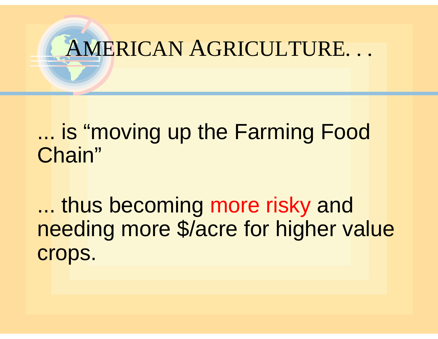

### ... is "moving up the Farming Food Chain"

... thus becoming more risky and needing more \$/acre for higher value crops.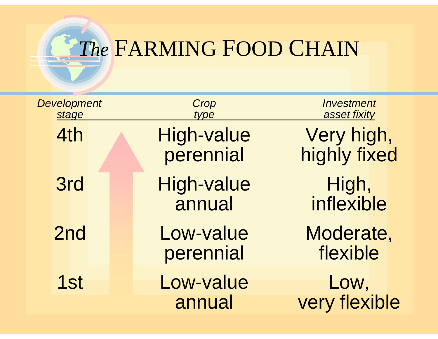

### *The* FARMING FOOD CHAIN

| <b>Development</b><br>stage | Crop<br>type                | Investment<br>asset fixity |
|-----------------------------|-----------------------------|----------------------------|
| 4th                         | High-value<br>perennial     | Very high,<br>highly fixed |
| <b>3rd</b>                  | <b>High-value</b><br>annual | High,<br>inflexible        |
| 2nd                         | Low-value<br>perennial      | Moderate,<br>flexible      |
| 1st                         | Low-value<br>annual         | Low,<br>very flexible      |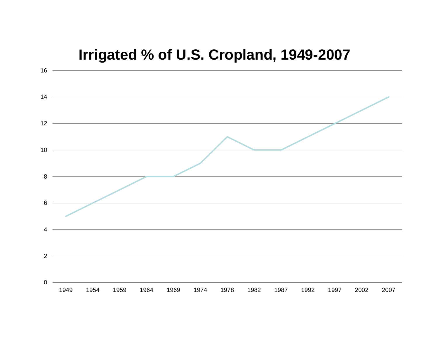#### **Irrigated % of U.S. Cropland, 1949-2007**

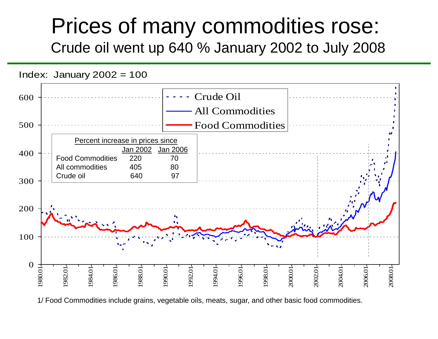### Prices of many commodities rose: Crude oil went up 640 % January 2002 to July 2008



1/ Food Commodities include grains, vegetable oils, meats, sugar, and other basic food commodities.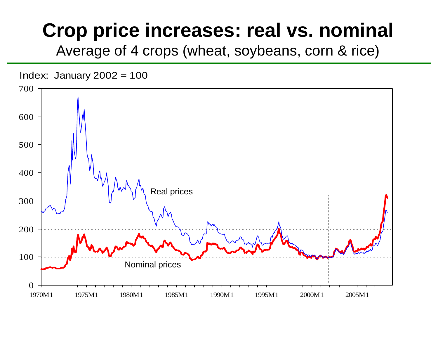### **Crop price increases: real vs. nominal**

Average of 4 crops (wheat, soybeans, corn & rice)

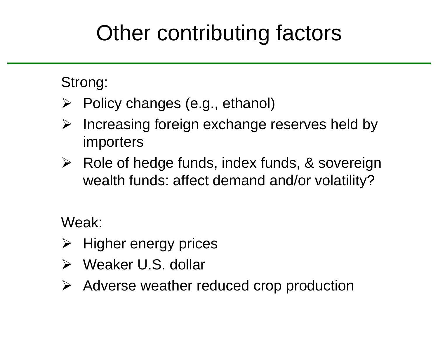### Other contributing factors

#### Strong:

- ¾ Policy changes (e.g., ethanol)
- $\blacktriangleright$ Increasing foreign exchange reserves held by importers
- **≻** Role of hedge funds, index funds, & sovereign wealth funds: affect demand and/or volatility?

Weak:

- $\triangleright$  Higher energy prices
- ¾ Weaker U.S. dollar
- ¾ Adverse weather reduced cro p production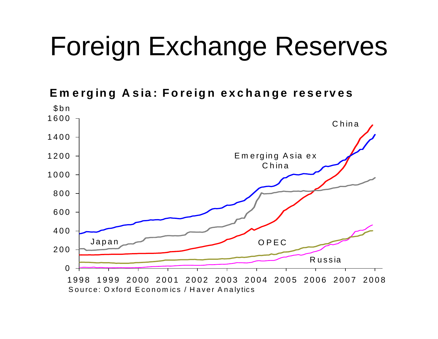# Foreign Exchange Reserves

**Em erging Asia: Foreign exchange reserves**

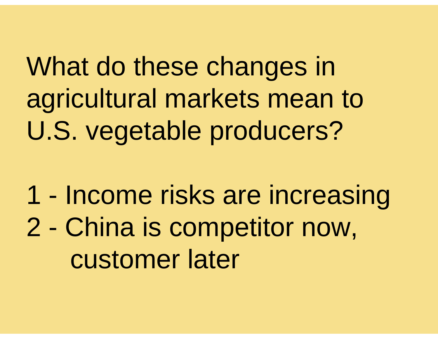What do these changes in agricultural markets mean to U.S. vegetable producers? . S. vegetable producers?

1 - Income risks are increasing 2 - China is competitor now, customer later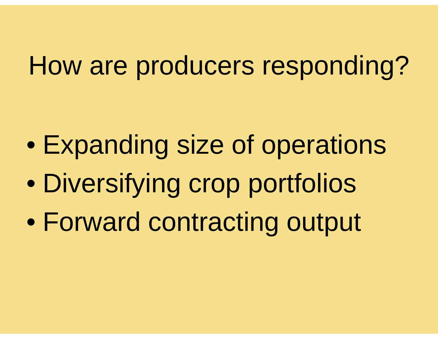# How are producers responding?

- $\bullet$ Expanding size of operations
- $\bullet$ Diversifying crop portfolios
- $\bullet$ Forward contracting output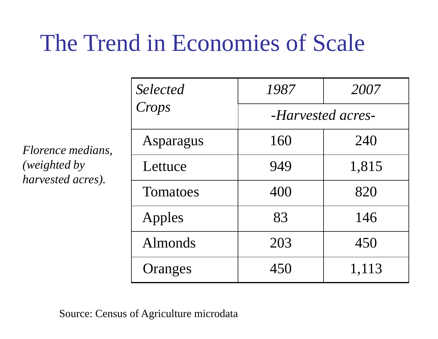### The Trend in Economies of Scale

*Sl tdSelect ed 1987 2007 Crops -Harvested acres-*Asparagus 160 240 y lettuce 194 949 1,815 *Florence medians, (weighted b* Eettuce 949 1,815<br>Tomatoes 400 820 *harvested acres).* Apples | 83 | 146 Almonds 1 203 450 Oranges | 450 | 1,113

Source: Census of Agriculture microdata